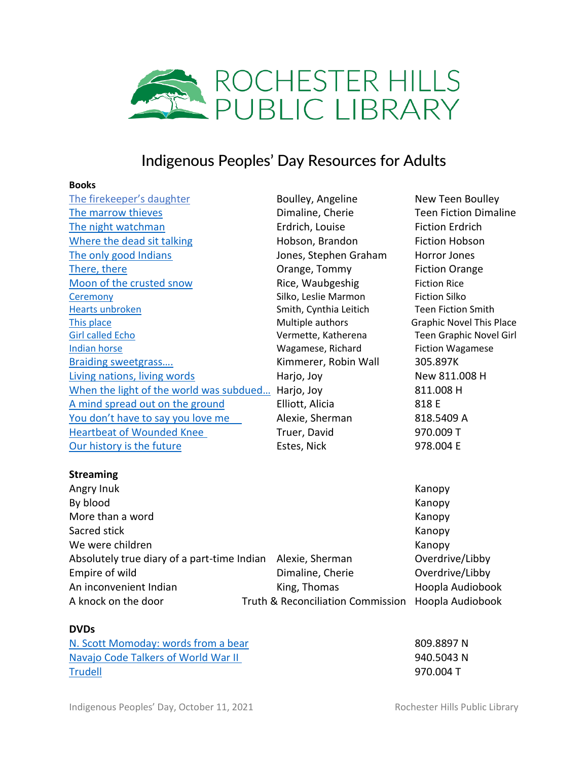

# Indigenous Peoples' Day Resources for Adults

#### **Books**

| The firekeeper's daughter               | Boulley, Angeline      | New Teen Boulley                |
|-----------------------------------------|------------------------|---------------------------------|
| The marrow thieves                      | Dimaline, Cherie       | <b>Teen Fiction Dimaline</b>    |
| The night watchman                      | Erdrich, Louise        | <b>Fiction Erdrich</b>          |
| Where the dead sit talking              | Hobson, Brandon        | <b>Fiction Hobson</b>           |
| The only good Indians                   | Jones, Stephen Graham  | Horror Jones                    |
| There, there                            | Orange, Tommy          | <b>Fiction Orange</b>           |
| Moon of the crusted snow                | Rice, Waubgeshig       | <b>Fiction Rice</b>             |
| Ceremony                                | Silko, Leslie Marmon   | <b>Fiction Silko</b>            |
| Hearts unbroken                         | Smith, Cynthia Leitich | <b>Teen Fiction Smith</b>       |
| This place                              | Multiple authors       | <b>Graphic Novel This Place</b> |
| <b>Girl called Echo</b>                 | Vermette, Katherena    | <b>Teen Graphic Novel Girl</b>  |
| <b>Indian horse</b>                     | Wagamese, Richard      | <b>Fiction Wagamese</b>         |
| <b>Braiding sweetgrass</b>              | Kimmerer, Robin Wall   | 305.897K                        |
| Living nations, living words            | Harjo, Joy             | New 811.008 H                   |
| When the light of the world was subdued | Harjo, Joy             | 811.008 H                       |
| A mind spread out on the ground         | Elliott, Alicia        | 818 E                           |
| You don't have to say you love me       | Alexie, Sherman        | 818.5409 A                      |
| <b>Heartbeat of Wounded Knee</b>        | Truer, David           | 970.009 T                       |
| Our history is the future               | Estes, Nick            | 978.004 E                       |
|                                         |                        |                                 |

## **Streaming**

| Angry Inuk                                                  |                                   | Kanopy           |
|-------------------------------------------------------------|-----------------------------------|------------------|
| By blood                                                    |                                   | Kanopy           |
| More than a word                                            |                                   | Kanopy           |
| Sacred stick                                                |                                   | Kanopy           |
| We were children                                            |                                   | Kanopy           |
| Absolutely true diary of a part-time Indian Alexie, Sherman |                                   | Overdrive/Libby  |
| Empire of wild                                              | Dimaline, Cherie                  | Overdrive/Libby  |
| An inconvenient Indian                                      | King, Thomas                      | Hoopla Audiobook |
| A knock on the door                                         | Truth & Reconciliation Commission | Hoopla Audiobook |

#### **DVDs**

| N. Scott Momoday: words from a bear | 809.8897 N |
|-------------------------------------|------------|
| Navajo Code Talkers of World War II | 940.5043 N |
| <b>Trudell</b>                      | 970.004 T  |